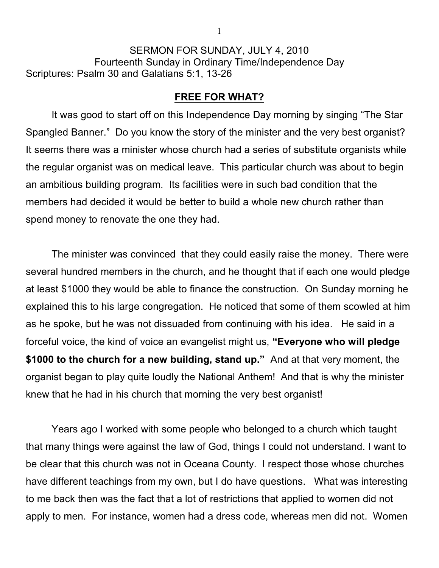SERMON FOR SUNDAY, JULY 4, 2010 Fourteenth Sunday in Ordinary Time/Independence Day Scriptures: Psalm 30 and Galatians 5:1, 13-26

## **FREE FOR WHAT?**

It was good to start off on this Independence Day morning by singing "The Star Spangled Banner." Do you know the story of the minister and the very best organist? It seems there was a minister whose church had a series of substitute organists while the regular organist was on medical leave. This particular church was about to begin an ambitious building program. Its facilities were in such bad condition that the members had decided it would be better to build a whole new church rather than spend money to renovate the one they had.

The minister was convinced that they could easily raise the money. There were several hundred members in the church, and he thought that if each one would pledge at least \$1000 they would be able to finance the construction. On Sunday morning he explained this to his large congregation. He noticed that some of them scowled at him as he spoke, but he was not dissuaded from continuing with his idea. He said in a forceful voice, the kind of voice an evangelist might us, **"Everyone who will pledge \$1000 to the church for a new building, stand up."** And at that very moment, the organist began to play quite loudly the National Anthem! And that is why the minister knew that he had in his church that morning the very best organist!

Years ago I worked with some people who belonged to a church which taught that many things were against the law of God, things I could not understand. I want to be clear that this church was not in Oceana County. I respect those whose churches have different teachings from my own, but I do have questions. What was interesting to me back then was the fact that a lot of restrictions that applied to women did not apply to men. For instance, women had a dress code, whereas men did not. Women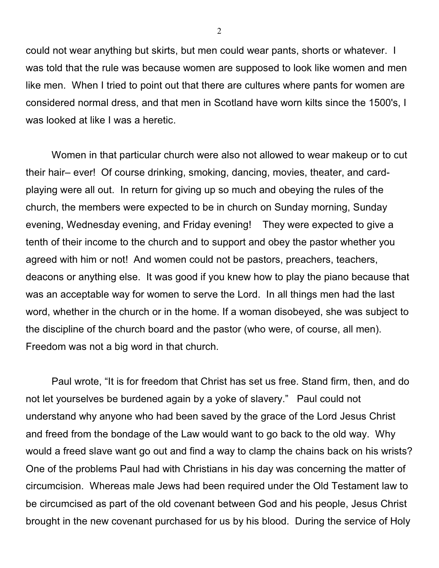could not wear anything but skirts, but men could wear pants, shorts or whatever. I was told that the rule was because women are supposed to look like women and men like men. When I tried to point out that there are cultures where pants for women are considered normal dress, and that men in Scotland have worn kilts since the 1500's, I was looked at like I was a heretic.

Women in that particular church were also not allowed to wear makeup or to cut their hair– ever! Of course drinking, smoking, dancing, movies, theater, and cardplaying were all out. In return for giving up so much and obeying the rules of the church, the members were expected to be in church on Sunday morning, Sunday evening, Wednesday evening, and Friday evening! They were expected to give a tenth of their income to the church and to support and obey the pastor whether you agreed with him or not! And women could not be pastors, preachers, teachers, deacons or anything else. It was good if you knew how to play the piano because that was an acceptable way for women to serve the Lord. In all things men had the last word, whether in the church or in the home. If a woman disobeyed, she was subject to the discipline of the church board and the pastor (who were, of course, all men). Freedom was not a big word in that church.

Paul wrote, "It is for freedom that Christ has set us free. Stand firm, then, and do not let yourselves be burdened again by a yoke of slavery." Paul could not understand why anyone who had been saved by the grace of the Lord Jesus Christ and freed from the bondage of the Law would want to go back to the old way. Why would a freed slave want go out and find a way to clamp the chains back on his wrists? One of the problems Paul had with Christians in his day was concerning the matter of circumcision. Whereas male Jews had been required under the Old Testament law to be circumcised as part of the old covenant between God and his people, Jesus Christ brought in the new covenant purchased for us by his blood. During the service of Holy

2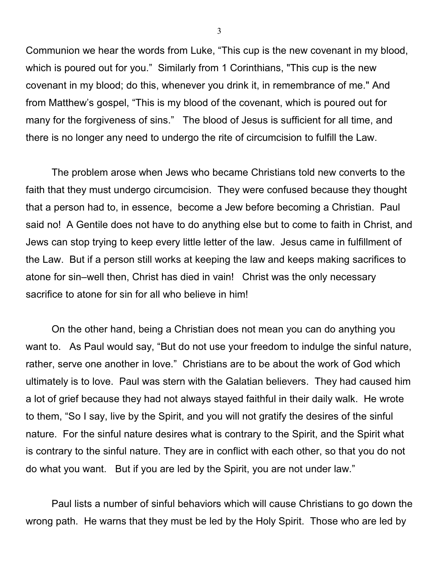Communion we hear the words from Luke, "This cup is the new covenant in my blood, which is poured out for you." Similarly from 1 Corinthians, "This cup is the new covenant in my blood; do this, whenever you drink it, in remembrance of me." And from Matthew's gospel, "This is my blood of the covenant, which is poured out for many for the forgiveness of sins." The blood of Jesus is sufficient for all time, and there is no longer any need to undergo the rite of circumcision to fulfill the Law.

The problem arose when Jews who became Christians told new converts to the faith that they must undergo circumcision. They were confused because they thought that a person had to, in essence, become a Jew before becoming a Christian. Paul said no! A Gentile does not have to do anything else but to come to faith in Christ, and Jews can stop trying to keep every little letter of the law. Jesus came in fulfillment of the Law. But if a person still works at keeping the law and keeps making sacrifices to atone for sin–well then, Christ has died in vain! Christ was the only necessary sacrifice to atone for sin for all who believe in him!

On the other hand, being a Christian does not mean you can do anything you want to. As Paul would say, "But do not use your freedom to indulge the sinful nature, rather, serve one another in love." Christians are to be about the work of God which ultimately is to love. Paul was stern with the Galatian believers. They had caused him a lot of grief because they had not always stayed faithful in their daily walk. He wrote to them, "So I say, live by the Spirit, and you will not gratify the desires of the sinful nature. For the sinful nature desires what is contrary to the Spirit, and the Spirit what is contrary to the sinful nature. They are in conflict with each other, so that you do not do what you want. But if you are led by the Spirit, you are not under law."

Paul lists a number of sinful behaviors which will cause Christians to go down the wrong path. He warns that they must be led by the Holy Spirit. Those who are led by

3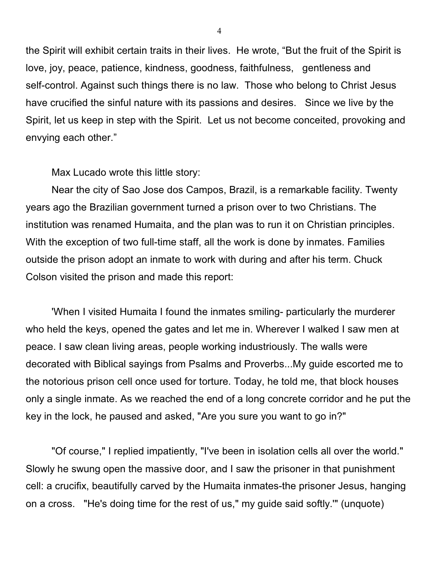the Spirit will exhibit certain traits in their lives. He wrote, "But the fruit of the Spirit is love, joy, peace, patience, kindness, goodness, faithfulness, gentleness and self-control. Against such things there is no law. Those who belong to Christ Jesus have crucified the sinful nature with its passions and desires. Since we live by the Spirit, let us keep in step with the Spirit. Let us not become conceited, provoking and envying each other."

Max Lucado wrote this little story:

Near the city of Sao Jose dos Campos, Brazil, is a remarkable facility. Twenty years ago the Brazilian government turned a prison over to two Christians. The institution was renamed Humaita, and the plan was to run it on Christian principles. With the exception of two full-time staff, all the work is done by inmates. Families outside the prison adopt an inmate to work with during and after his term. Chuck Colson visited the prison and made this report:

'When I visited Humaita I found the inmates smiling- particularly the murderer who held the keys, opened the gates and let me in. Wherever I walked I saw men at peace. I saw clean living areas, people working industriously. The walls were decorated with Biblical sayings from Psalms and Proverbs...My guide escorted me to the notorious prison cell once used for torture. Today, he told me, that block houses only a single inmate. As we reached the end of a long concrete corridor and he put the key in the lock, he paused and asked, "Are you sure you want to go in?"

"Of course," I replied impatiently, "I've been in isolation cells all over the world." Slowly he swung open the massive door, and I saw the prisoner in that punishment cell: a crucifix, beautifully carved by the Humaita inmates-the prisoner Jesus, hanging on a cross. "He's doing time for the rest of us," my guide said softly.'" (unquote)

4